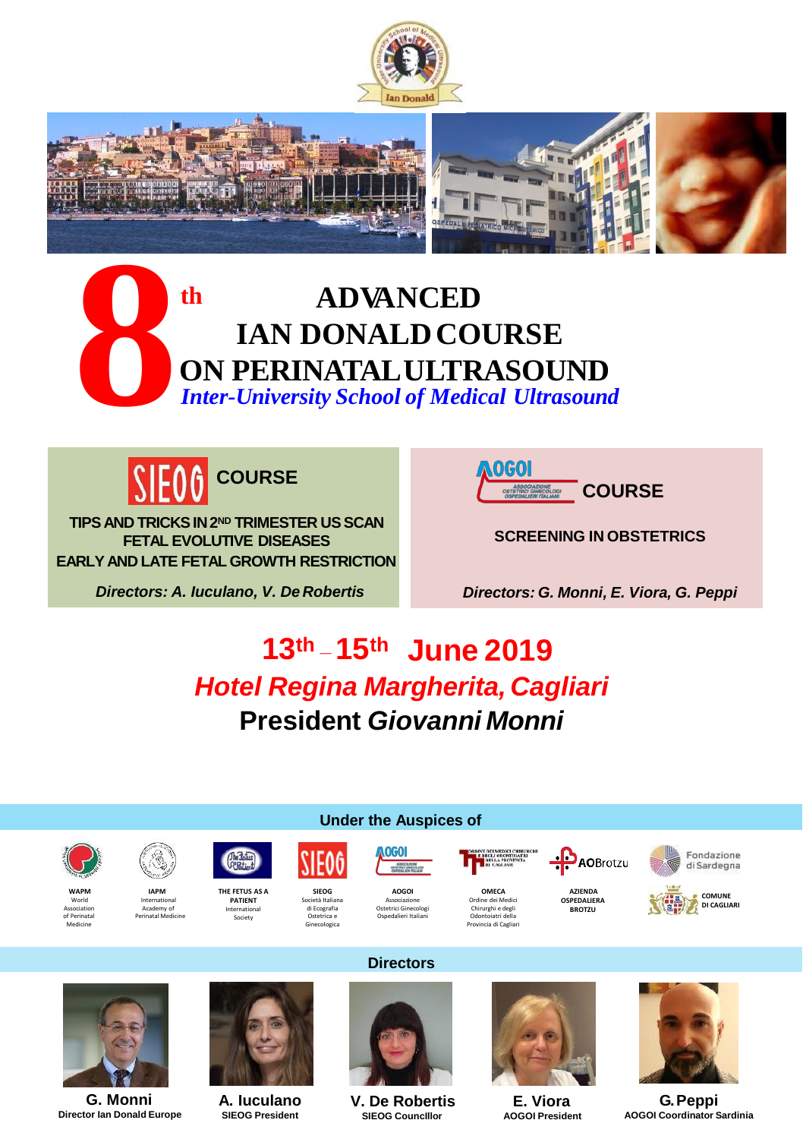









**TIPS AND TRICKSIN2ND TRIMESTER USSCAN FETAL EVOLUTIVE DISEASES EARLY AND LATE FETAL GROWTH RESTRICTION**

*Directors: A. Iuculano, V. De Robertis*



**SCREENING IN OBSTETRICS**

*Directors: G. Monni, E. Viora, G. Peppi*

**AO**Brotzu

# **13th \_ 15th June 2019** *Hotel Regina Margherita, Cagliari* **President** *Giovanni Monni*



of Perinatal Medicine

**WAPM** World Association



**IAPM** International Academy of

Perinatal Medicine



**SIEOG** Società Italiana di Ecografia Ostetrica e Ginecologica



Ostetrici Ginecologi Ospedalieri Italiani



**OMECA** Ordine dei Medici Chirurghi e degli Odontoiatri della Provincia di Cagliari

**AZIENDA OSPEDALIERA BROTZU**







**G. Monni Director Ian Donald Europe**



**A. Iuculano SIEOG President**



**Directors**

**Under the Auspices of**

**V. De Robertis SIEOG CouncIllor**



**E. Viora AOGOI President**



**G.Peppi AOGOI Coordinator Sardinia**

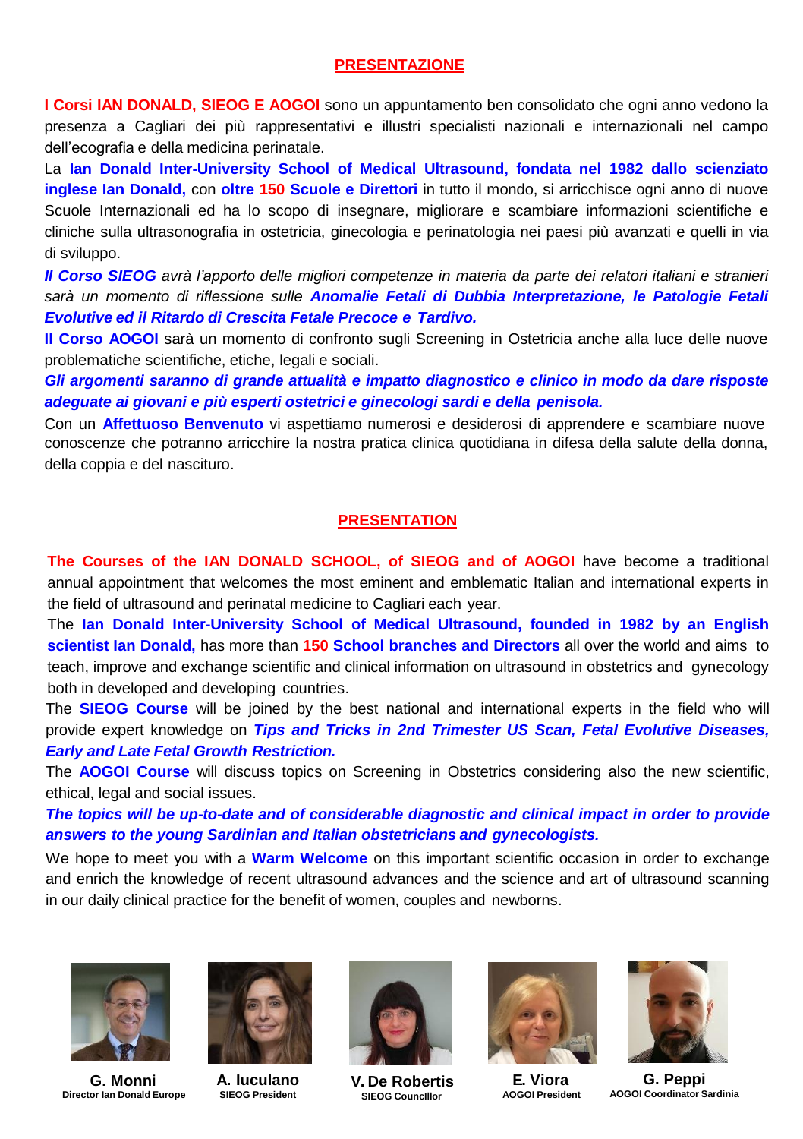#### **PRESENTAZIONE**

**I Corsi IAN DONALD, SIEOG E AOGOI** sono un appuntamento ben consolidato che ogni anno vedono la presenza a Cagliari dei più rappresentativi e illustri specialisti nazionali e internazionali nel campo dell'ecografia e della medicina perinatale.

La **Ian Donald Inter-University School of Medical Ultrasound, fondata nel 1982 dallo scienziato inglese Ian Donald,** con **oltre 150 Scuole e Direttori** in tutto il mondo, si arricchisce ogni anno di nuove Scuole Internazionali ed ha lo scopo di insegnare, migliorare e scambiare informazioni scientifiche e cliniche sulla ultrasonografia in ostetricia, ginecologia e perinatologia nei paesi più avanzati e quelli in via di sviluppo.

Il Corso SIEOG avrà l'apporto delle migliori competenze in materia da parte dei relatori italiani e stranieri *sarà un momento di riflessione sulle Anomalie Fetali di Dubbia Interpretazione, le Patologie Fetali Evolutive ed il Ritardo di Crescita Fetale Precoce e Tardivo.*

**Il Corso AOGOI** sarà un momento di confronto sugli Screening in Ostetricia anche alla luce delle nuove problematiche scientifiche, etiche, legali e sociali.

*Gli argomenti saranno di grande attualità e impatto diagnostico e clinico in modo da dare risposte adeguate ai giovani e più esperti ostetrici e ginecologi sardi e della penisola.*

Con un **Affettuoso Benvenuto** vi aspettiamo numerosi e desiderosi di apprendere e scambiare nuove conoscenze che potranno arricchire la nostra pratica clinica quotidiana in difesa della salute della donna, della coppia e del nascituro.

#### **PRESENTATION**

**The Courses of the IAN DONALD SCHOOL, of SIEOG and of AOGOI** have become a traditional annual appointment that welcomes the most eminent and emblematic Italian and international experts in the field of ultrasound and perinatal medicine to Cagliari each year.

The **Ian Donald Inter-University School of Medical Ultrasound, founded in 1982 by an English scientist Ian Donald,** has more than **150 School branches and Directors** all over the world and aims to teach, improve and exchange scientific and clinical information on ultrasound in obstetrics and gynecology both in developed and developing countries.

The **SIEOG Course** will be joined by the best national and international experts in the field who will provide expert knowledge on *Tips and Tricks in 2nd Trimester US Scan, Fetal Evolutive Diseases, Early and Late Fetal Growth Restriction.*

The **AOGOI Course** will discuss topics on Screening in Obstetrics considering also the new scientific, ethical, legal and social issues.

*The topics will be up-to-date and of considerable diagnostic and clinical impact in order to provide answers to the young Sardinian and Italian obstetricians and gynecologists.*

We hope to meet you with a **Warm Welcome** on this important scientific occasion in order to exchange and enrich the knowledge of recent ultrasound advances and the science and art of ultrasound scanning in our daily clinical practice for the benefit of women, couples and newborns.



**G. Monni Director Ian Donald Europe**



**A. Iuculano SIEOG President**



**V. De Robertis SIEOG CouncIllor**



**E. Viora AOGOI President**



**G. Peppi AOGOI Coordinator Sardinia**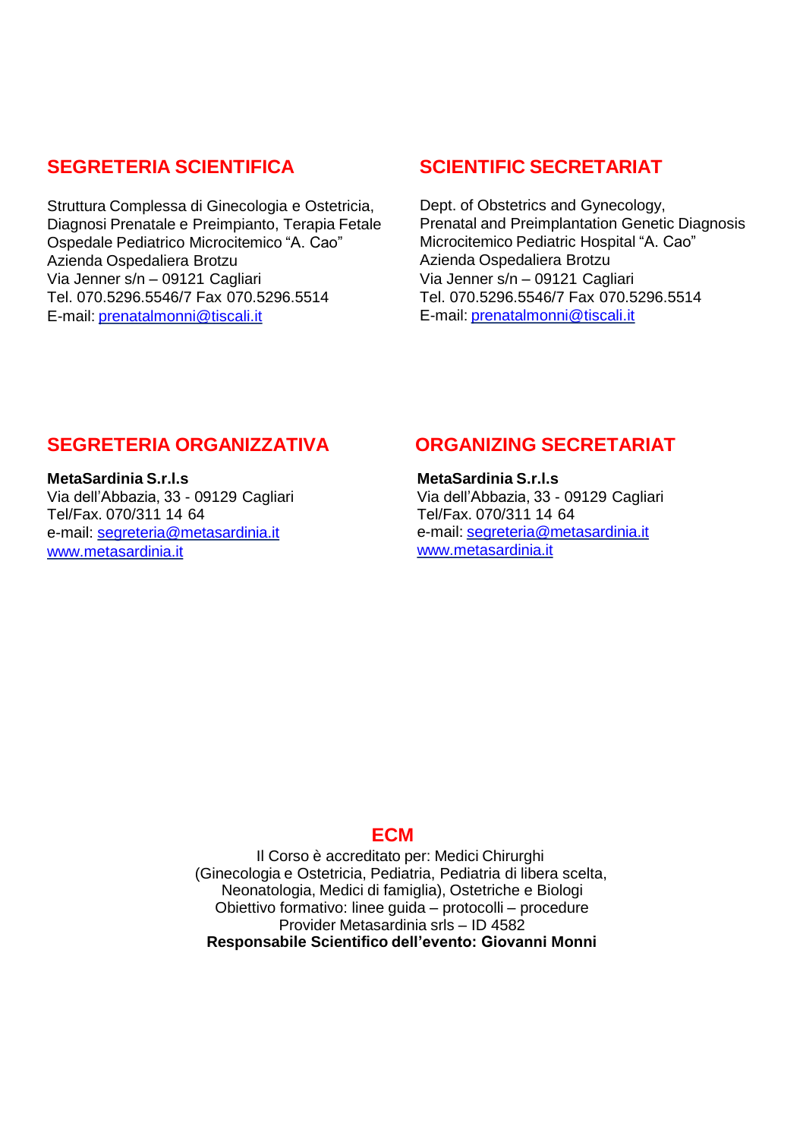## **SEGRETERIA SCIENTIFICA**

Struttura Complessa di Ginecologia e Ostetricia. Diagnosi Prenatale e Preimpianto, Terapia Fetale Ospedale Pediatrico Microcitemico "A. Cao" Azienda Ospedaliera Brotzu Via Jenner s/n – 09121 Cagliari Tel. 070.5296.5546/7 Fax 070.5296.5514 E-mail: [prenatalmonni@tiscali.it](mailto:prenatalmonni@tiscali.it)

# **SCIENTIFIC SECRETARIAT**

Dept. of Obstetrics and Gynecology, Prenatal and Preimplantation Genetic Diagnosis Microcitemico Pediatric Hospital "A. Cao" Azienda Ospedaliera Brotzu Via Jenner s/n – 09121 Cagliari Tel. 070.5296.5546/7 Fax 070.5296.5514 E-mail: [prenatalmonni@tiscali.it](mailto:prenatalmonni@tiscali.it)

## **SEGRETERIA ORGANIZZATIVA**

**MetaSardinia S.r.l.s** Via dell'Abbazia, 33 - 09129 Cagliari Tel/Fax. 070/311 14 64 e-mail: [segreteria@metasardinia.it](mailto:segreteria@metasardinia.it) [www.metasardinia.it](http://www.metasardinia.it/)

## **ORGANIZING SECRETARIAT**

**MetaSardinia S.r.l.s** Via dell'Abbazia, 33 - 09129 Cagliari Tel/Fax. 070/311 14 64 e-mail: [segreteria@metasardinia.it](mailto:segreteria@metasardinia.it) [www.metasardinia.it](http://www.metasardinia.it/)

## **ECM**

Il Corso è accreditato per: Medici Chirurghi (Ginecologia e Ostetricia, Pediatria, Pediatria di libera scelta, Neonatologia, Medici di famiglia), Ostetriche e Biologi Obiettivo formativo: linee guida – protocolli – procedure Provider Metasardinia srls – ID 4582 **Responsabile Scientifico dell'evento: Giovanni Monni**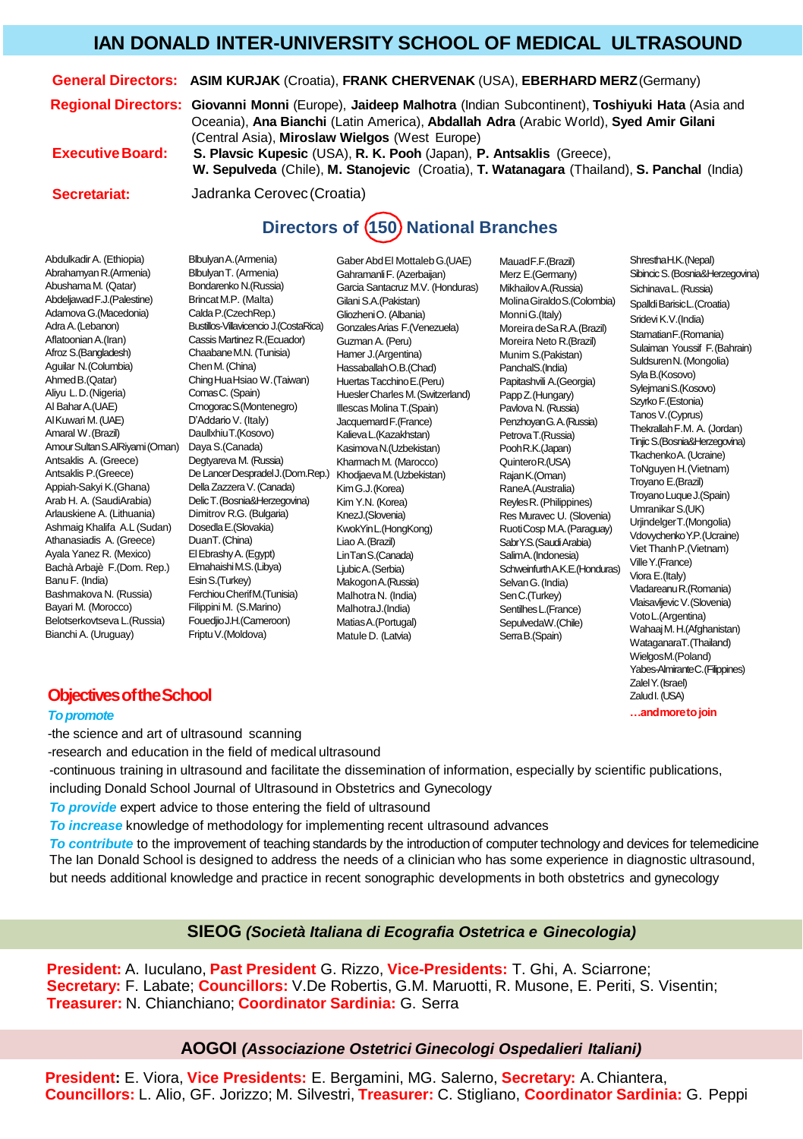## **IAN DONALD INTER-UNIVERSITY SCHOOL OF MEDICAL ULTRASOUND**

#### **General Directors: ASIM KURJAK** (Croatia), **FRANK CHERVENAK** (USA), **EBERHARD MERZ**(Germany)

**Regional Directors: Giovanni Monni** (Europe), **Jaideep Malhotra** (Indian Subcontinent), **Toshiyuki Hata** (Asia and Oceania), **Ana Bianchi** (Latin America), **Abdallah Adra** (Arabic World), **Syed Amir Gilani**  (Central Asia), **Miroslaw Wielgos** (West Europe)

**ExecutiveBoard:**

**Secretariat:**

**S. Plavsic Kupesic** (USA), **R. K. Pooh** (Japan), **P. Antsaklis** (Greece), **W. Sepulveda** (Chile), **M. Stanojevic** (Croatia), **T. Watanagara** (Thailand), **S. Panchal** (India)

Jadranka Cerovec(Croatia)

# **Directors of 150 National Branches**

Abdulkadir A. (Ethiopia) Abrahamyan R.(Armenia) Abushama M. (Qatar) AbdeljawadF.J.(Palestine) AdamovaG.(Macedonia) AdraA.(Lebanon) Aflatoonian A.(Iran) Afroz S.(Bangladesh) Aguilar N.(Columbia) AhmedB.(Qatar) Aliyu L.D.(Nigeria) Al BaharA.(UAE) AlKuwari M.(UAE) Amaral W.(Brazil) Amour Sultan S.AlRiyami (Oman) DayaS.(Canada) Antsaklis A. (Greece) Antsaklis P.(Greece) Appiah-Sakyi K.(Ghana) Arab H. A. (SaudiArabia) Arlauskiene A. (Lithuania) Ashmaig Khalifa A.L (Sudan) DosedlaE.(Slovakia) Athanasiadis A. (Greece) Ayala Yanez R. (Mexico) BachàArbajè F.(Dom. Rep.) ElmahaishiM.S.(Libya) BanuF. (India) Bashmakova N. (Russia) Bayari M. (Morocco) Belotserkovtseva L.(Russia) FouedjioJ.H.(Cameroon) Bianchi A. (Uruguay)

GonzalesArias F.(Venezuela) Bustillos-Villavicencio J.(CostaRica) De Lancer Despradel J. (Dom.Rep.) Khodjaeva M. (Uzbekistan) BlbulyanA.(Armenia) BlbulyanT. (Armenia) Bondarenko N.(Russia) Brincat M.P. (Malta) CaldaP.(CzechRep.) Cassis Martinez R.(Ecuador) ChaabaneM.N. (Tunisia) Chen M. (China) ChingHuaHsiao W.(Taiwan) Comas C. (Spain) CrnogoracS.(Montenegro) D'Addario V. (Italy) DaullxhiuT.(Kosovo) Degtyareva M. (Russia) Della Zazzera V. (Canada) DelicT.(Bosnia&Herzegovina) Dimitrov R.G. (Bulgaria) DuanT. (China) El EbrashyA. (Egypt) EsinS.(Turkey) FerchiouCherifM.(Tunisia) Filippini M. (S.Marino) Friptu V.(Moldova)

Gaber AbdEl MottalebG.(UAE) GahramanliF. (Azerbaijan) Garcia Santacruz M.V. (Honduras) Gilani S.A.(Pakistan) Gliozheni O. (Albania) GuzmanA. (Peru) Hamer J.(Argentina) HassaballahO.B.(Chad) Huertas TacchinoE.(Peru) HueslerCharles M.(Switzerland) Illescas Molina T.(Spain) JacquemardF.(France) KalievaL.(Kazakhstan) KasimovaN.(Uzbekistan) Kharmach M. (Marocco) KimG.J.(Korea) Kim Y.N. (Korea) KnezJ.(Slovenia) KwokYinL.(HongKong) Liao A.(Brazil) LinTanS.(Canada) Liubic A. (Serbia) MakogonA.(Russia) Malhotra N. (India) Malhotra. (India) MatiasA.(Portugal) Matule D. (Latvia)

MauadF.F.(Brazil) Merz E.(Germany) MikhailovA.(Russia) MolinaGiraldoS.(Colombia) SpalldiBarisicL.(Croatia) MonniG.(Italy) MoreiradeSa R.A.(Brazil) Moreira Neto R.(Brazil) Munim S.(Pakistan) PanchalS.(India) Papitashvili A.(Georgia) PappZ.(Hungary) Pavlova N. (Russia) PenzhoyanG.A.(Russia) Petrova T.(Russia) PoohR.K.(Japan) QuinteroR.(USA) Rajan K.(Oman) RaneA.(Australia) ReylesR. (Philippines) Res Muravec U. (Slovenia) RuotiCosp M.A.(Paraguay) SabrY.S. (Saudi Arabia) SalimA.(Indonesia) SchweinfurthA.K.E.(Honduras) VilleY.(France) Viora E.(Italy) SelvanG. (India) SenC.(Turkey) Sentilhes L. (France) SepulvedaW.(Chile) Serra B.(Spain)

Shrestha H.K. (Nepal) SibincicS. (Bosnia&Herzegovina) SichinavaL. (Russia) Sridevi K.V.(India) StamatianF.(Romania) Sulaiman Youssif F.(Bahrain) SuldsurenN.(Mongolia) SylaB.(Kosovo) SylejmaniS.(Kosovo) Szyrko F.(Estonia) TanosV.(Cyprus) Thekrallah F.M. A. (Jordan) TinjicS.(Bosnia&Herzegovina) TkachenkoA. (Ucraine) ToNguyen H.(Vietnam) Troyano E.(Brazil) Troyano Luque J.(Spain) UmranikarS.(UK) UrjindelgerT.(Mongolia) VdovychenkoY.P.(Ucraine) Viet Thanh P.(Vietnam)<br>Ville Y.(France) VladareanuR.(Romania) VlaisavljevicV.(Slovenia) VotoL.(Argentina) Wahaaj M.H.(Afghanistan) WataganaraT.(Thailand) WielgosM.(Poland) Yabes-AlmiranteC.(Filippines) ZalelY.(Israel) ZaludI. (USA)

**…andmoretojoin**

#### **Objectives of the School**

#### *Topromote*

-the science and art of ultrasound scanning

-research and education in the field of medical ultrasound

-continuous training in ultrasound and facilitate the dissemination of information, especially by scientific publications, including Donald School Journal of Ultrasound in Obstetrics and Gynecology

*To provide* expert advice to those entering the field of ultrasound

*To increase* knowledge of methodology for implementing recent ultrasound advances

*To contribute* to the improvement of teaching standards by the introduction of computer technology and devices for telemedicine The Ian Donald School is designed to address the needs of a clinician who has some experience in diagnostic ultrasound, but needs additional knowledge and practice in recent sonographic developments in both obstetrics and gynecology

#### **SIEOG** *(Società Italiana di Ecografia Ostetrica e Ginecologia)*

**President:** A. Iuculano, **Past President** G. Rizzo, **Vice-Presidents:** T. Ghi, A. Sciarrone; **Secretary:** F. Labate; **Councillors:** V.De Robertis, G.M. Maruotti, R. Musone, E. Periti, S. Visentin; **Treasurer:** N. Chianchiano; **Coordinator Sardinia:** G. Serra

#### **AOGOI** *(Associazione Ostetrici Ginecologi Ospedalieri Italiani)*

**President:** E. Viora, **Vice Presidents:** E. Bergamini, MG. Salerno, **Secretary:** A.Chiantera, **Councillors:** L. Alio, GF. Jorizzo; M. Silvestri, **Treasurer:** C. Stigliano, **Coordinator Sardinia:** G. Peppi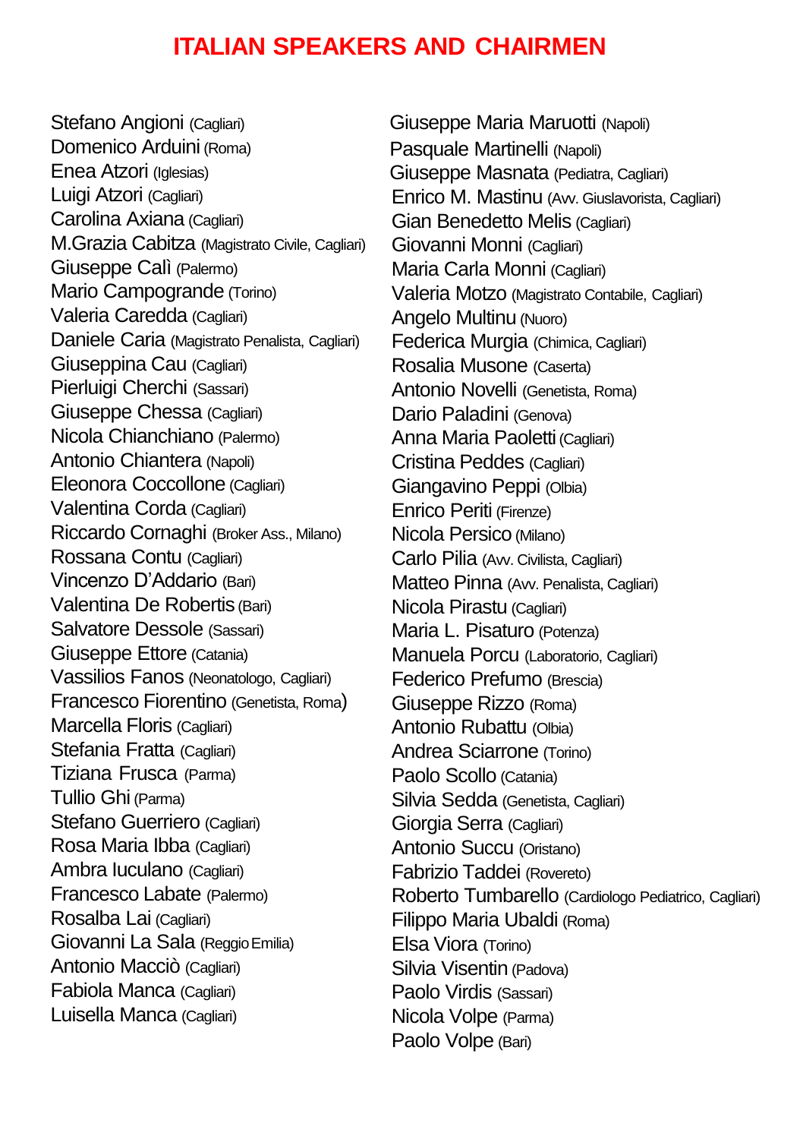# **ITALIAN SPEAKERS AND CHAIRMEN**

Stefano Angioni (Cagliari) Domenico Arduini (Roma) Enea Atzori (Iglesias) Luigi Atzori (Cagliari) Carolina Axiana (Cagliari) M.Grazia Cabitza (Magistrato Civile, Cagliari) Giuseppe Calì (Palermo) Mario Campogrande (Torino) Valeria Caredda (Cagliari) Daniele Caria (Magistrato Penalista, Cagliari) Giuseppina Cau (Cagliari) Pierluigi Cherchi (Sassari) Giuseppe Chessa (Cagliari) Nicola Chianchiano (Palermo) Antonio Chiantera (Napoli) Eleonora Coccollone (Cagliari) Valentina Corda (Cagliari) Riccardo Cornaghi (Broker Ass., Milano) Rossana Contu (Cagliari) Vincenzo D'Addario (Bari) Valentina De Robertis (Bari) Salvatore Dessole (Sassari) Giuseppe Ettore (Catania) Vassilios Fanos (Neonatologo, Cagliari) Francesco Fiorentino (Genetista, Roma) Marcella Floris (Cagliari) Stefania Fratta (Cagliari) Tiziana Frusca (Parma) Tullio Ghi (Parma) Stefano Guerriero (Cagliari) Rosa Maria Ibba (Cagliari) Ambra Iuculano (Cagliari) Francesco Labate (Palermo) Rosalba Lai (Cagliari) Giovanni La Sala (ReggioEmilia) Antonio Macciò (Cagliari) Fabiola Manca (Cagliari) Luisella Manca (Cagliari)

Giuseppe Maria Maruotti (Napoli) Pasquale Martinelli (Napoli) Giuseppe Masnata (Pediatra, Cagliari) Enrico M. Mastinu (Avv. Giuslavorista, Cagliari) Gian Benedetto Melis (Cagliari) Giovanni Monni (Cagliari) Maria Carla Monni (Cagliari) Valeria Motzo (Magistrato Contabile, Cagliari) Angelo Multinu (Nuoro) Federica Murgia (Chimica, Cagliari) Rosalia Musone (Caserta) Antonio Novelli (Genetista, Roma) Dario Paladini (Genova) Anna Maria Paoletti (Cagliari) Cristina Peddes (Cagliari) Giangavino Peppi (Olbia) Enrico Periti (Firenze) Nicola Persico (Milano) Carlo Pilia (Avv. Civilista, Cagliari) Matteo Pinna (Avv. Penalista, Cagliari) Nicola Pirastu (Cagliari) Maria L. Pisaturo (Potenza) Manuela Porcu (Laboratorio, Cagliari) Federico Prefumo (Brescia) Giuseppe Rizzo (Roma) Antonio Rubattu (Olbia) Andrea Sciarrone (Torino) Paolo Scollo (Catania) Silvia Sedda (Genetista, Cagliari) Giorgia Serra (Cagliari) Antonio Succu (Oristano) Fabrizio Taddei (Rovereto) Roberto Tumbarello (Cardiologo Pediatrico, Cagliari) Filippo Maria Ubaldi (Roma) Elsa Viora (Torino) Silvia Visentin (Padova) Paolo Virdis (Sassari) Nicola Volpe (Parma) Paolo Volpe (Bari)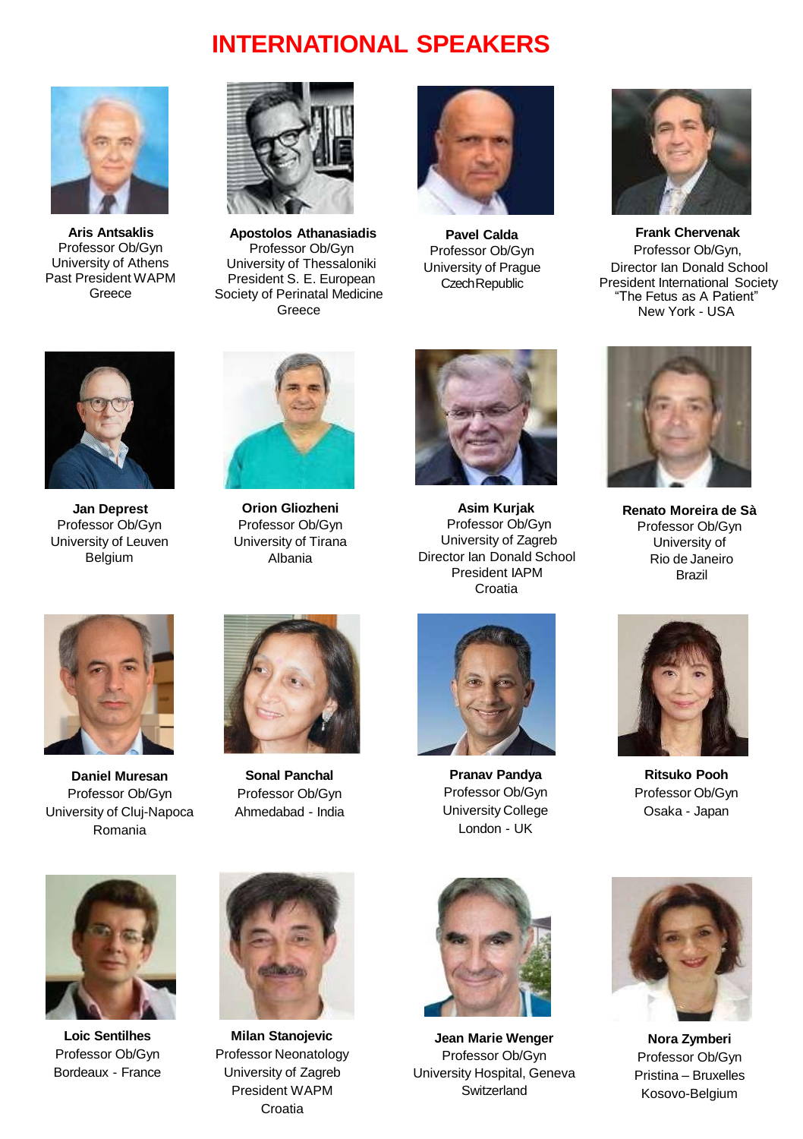# **INTERNATIONAL SPEAKERS**



**Aris Antsaklis**  Professor Ob/Gyn University of Athens Past President WAPM Greece



**Apostolos Athanasiadis**  Professor Ob/Gyn University of Thessaloniki President S. E. European Society of Perinatal Medicine **Greece** 



**Pavel Calda**  Professor Ob/Gyn University of Prague Czech Republic



**Frank Chervenak**  Professor Ob/Gyn, Director Ian Donald School President International Society "The Fetus as A Patient" New York - USA



**Jan Deprest**  Professor Ob/Gyn University of Leuven Belgium



**Orion Gliozheni**  Professor Ob/Gyn University of Tirana Albania



**Asim Kurjak**  Professor Ob/Gyn University of Zagreb Director Ian Donald School President IAPM Croatia



**Renato Moreira de Sà**  Professor Ob/Gyn University of Rio de Janeiro Brazil



**Daniel Muresan**  Professor Ob/Gyn University of Cluj-Napoca Romania



**Sonal Panchal**  Professor Ob/Gyn Ahmedabad - India



**Milan Stanojevic**  Professor Neonatology University of Zagreb President WAPM Croatia



**Pranav Pandya**  Professor Ob/Gyn University College London - UK



**Ritsuko Pooh**  Professor Ob/Gyn Osaka - Japan



**Jean Marie Wenger**  Professor Ob/Gyn University Hospital, Geneva Switzerland



**Nora Zymberi** Professor Ob/Gyn Pristina – Bruxelles Kosovo-Belgium



**Loic Sentilhes**  Professor Ob/Gyn Bordeaux - France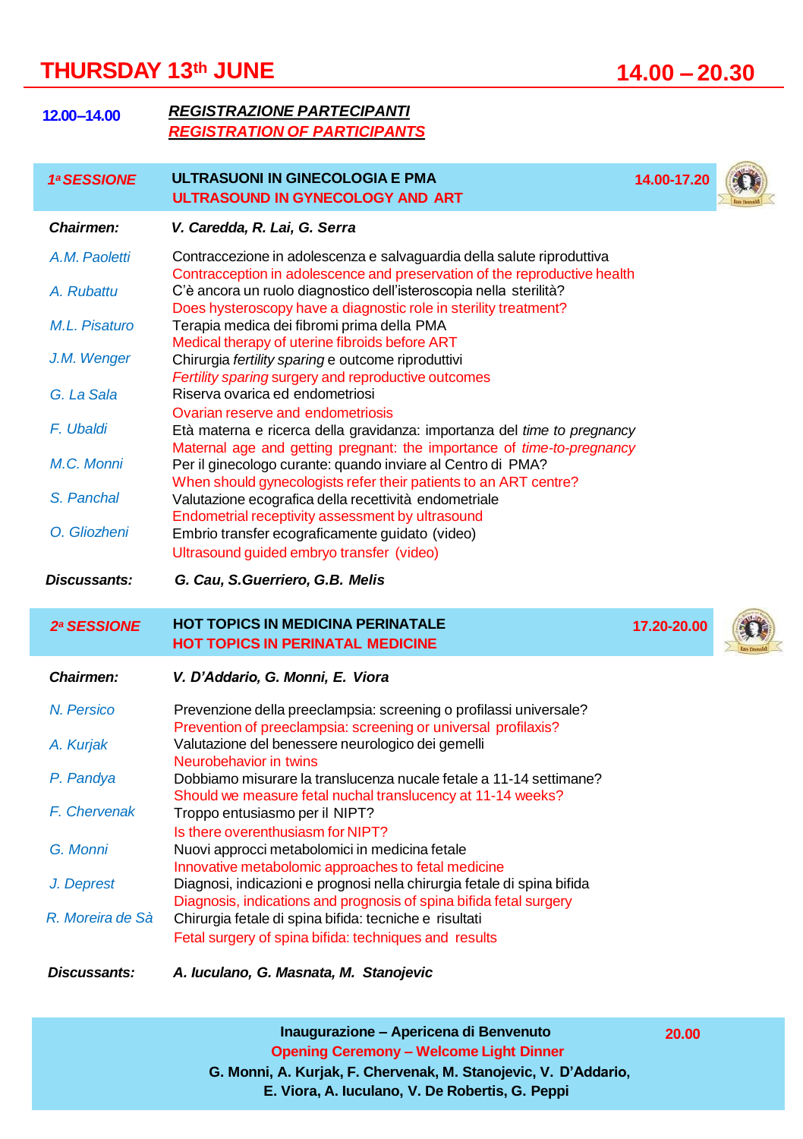# **THURSDAY 13th JUNE 14.00 – 20.30**

| 12.00-14.00                 | <b>REGISTRAZIONE PARTECIPANTI</b><br><b>REGISTRATION OF PARTICIPANTS</b>                                                                                                                                                  |             |  |
|-----------------------------|---------------------------------------------------------------------------------------------------------------------------------------------------------------------------------------------------------------------------|-------------|--|
| 1ª SESSIONE                 | ULTRASUONI IN GINECOLOGIA E PMA<br>ULTRASOUND IN GYNECOLOGY AND ART                                                                                                                                                       | 14.00-17.20 |  |
| Chairmen:                   | V. Caredda, R. Lai, G. Serra                                                                                                                                                                                              |             |  |
| A.M. Paoletti<br>A. Rubattu | Contraccezione in adolescenza e salvaguardia della salute riproduttiva<br>Contracception in adolescence and preservation of the reproductive health<br>C'è ancora un ruolo diagnostico dell'isteroscopia nella sterilità? |             |  |
| M.L. Pisaturo               | Does hysteroscopy have a diagnostic role in sterility treatment?<br>Terapia medica dei fibromi prima della PMA<br>Medical therapy of uterine fibroids before ART                                                          |             |  |
| J.M. Wenger                 | Chirurgia fertility sparing e outcome riproduttivi<br>Fertility sparing surgery and reproductive outcomes                                                                                                                 |             |  |
| G. La Sala                  | Riserva ovarica ed endometriosi                                                                                                                                                                                           |             |  |
| F. Ubaldi                   | Ovarian reserve and endometriosis<br>Età materna e ricerca della gravidanza: importanza del time to pregnancy<br>Maternal age and getting pregnant: the importance of <i>time-to-pregnancy</i>                            |             |  |
| M.C. Monni                  | Per il ginecologo curante: quando inviare al Centro di PMA?                                                                                                                                                               |             |  |
| S. Panchal                  | When should gynecologists refer their patients to an ART centre?<br>Valutazione ecografica della recettività endometriale<br>Endometrial receptivity assessment by ultrasound                                             |             |  |
| O. Gliozheni                | Embrio transfer ecograficamente guidato (video)<br>Ultrasound quided embryo transfer (video)                                                                                                                              |             |  |
| Discussants:                | G. Cau, S. Guerriero, G.B. Melis                                                                                                                                                                                          |             |  |
| 2ª SESSIONE                 | <b>HOT TOPICS IN MEDICINA PERINATALE</b><br><b>HOT TOPICS IN PERINATAL MEDICINE</b>                                                                                                                                       | 17.20-20.00 |  |
| Chairmen:                   | V. D'Addario, G. Monni, E. Viora                                                                                                                                                                                          |             |  |
| N. Persico                  | Prevenzione della preeclampsia: screening o profilassi universale?<br>Prevention of preeclampsia: screening or universal profilaxis?                                                                                      |             |  |
| A. Kurjak                   | Valutazione del benessere neurologico dei gemelli<br>Neurobehavior in twins                                                                                                                                               |             |  |
| P. Pandya                   | Dobbiamo misurare la translucenza nucale fetale a 11-14 settimane?<br>Should we measure fetal nuchal translucency at 11-14 weeks?                                                                                         |             |  |
| F. Chervenak                | Troppo entusiasmo per il NIPT?<br>Is there overenthusiasm for NIPT?                                                                                                                                                       |             |  |
| G. Monni                    | Nuovi approcci metabolomici in medicina fetale<br>Innovative metabolomic approaches to fetal medicine                                                                                                                     |             |  |
| J. Deprest                  | Diagnosi, indicazioni e prognosi nella chirurgia fetale di spina bifida<br>Diagnosis, indications and prognosis of spina bifida fetal surgery                                                                             |             |  |
| R. Moreira de Sà            | Chirurgia fetale di spina bifida: tecniche e risultati<br>Fetal surgery of spina bifida: techniques and results                                                                                                           |             |  |
| Discussants:                | A. luculano, G. Masnata, M. Stanojevic                                                                                                                                                                                    |             |  |

**Inaugurazione – Apericena di Benvenuto 20.00 Opening Ceremony – Welcome Light Dinner G. Monni, A. Kurjak, F. Chervenak, M. Stanojevic, V. D'Addario, E. Viora, A. Iuculano, V. De Robertis, G. Peppi**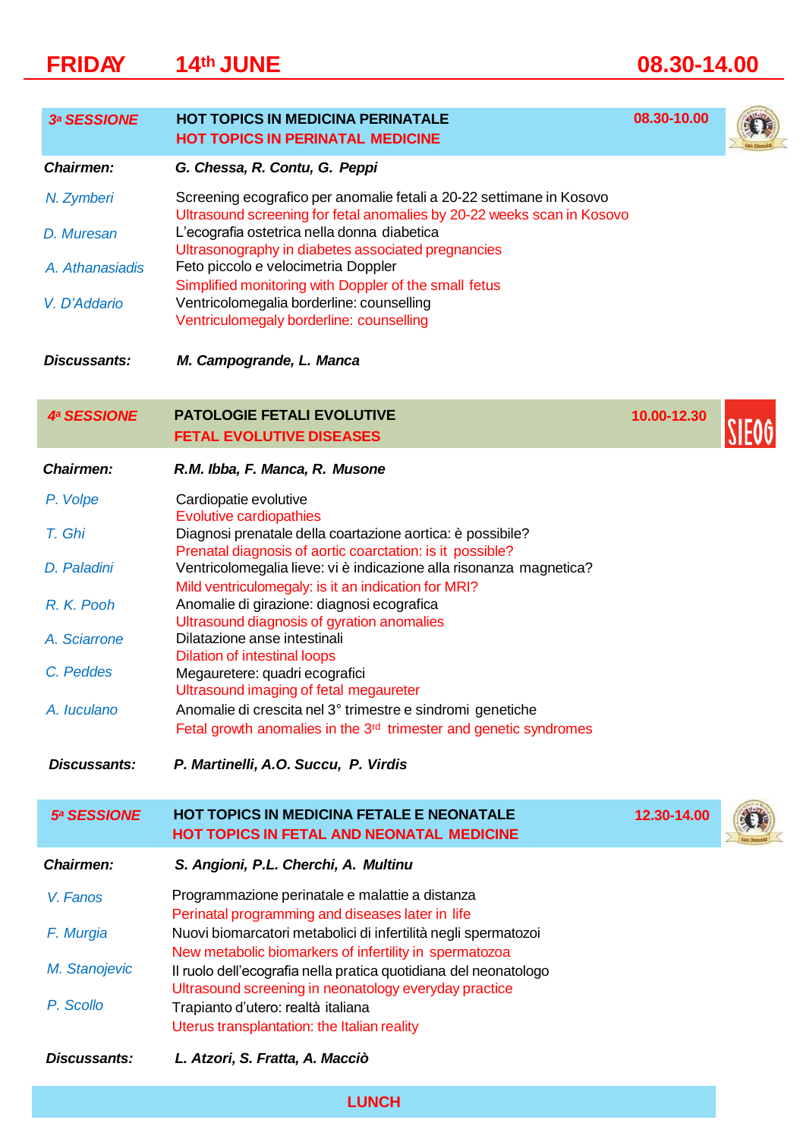# **FRIDAY 14th JUNE 08.30-14.00**

| <b>3ª SESSIONE</b> | <b>HOT TOPICS IN MEDICINA PERINATALE</b><br><b>HOT TOPICS IN PERINATAL MEDICINE</b>                                                            | 08.30-10.00 |  |
|--------------------|------------------------------------------------------------------------------------------------------------------------------------------------|-------------|--|
| Chairmen:          | G. Chessa, R. Contu, G. Peppi                                                                                                                  |             |  |
| N. Zymberi         | Screening ecografico per anomalie fetali a 20-22 settimane in Kosovo<br>Ultrasound screening for fetal anomalies by 20-22 weeks scan in Kosovo |             |  |
| D. Muresan         | L'ecografia ostetrica nella donna diabetica<br>Ultrasonography in diabetes associated pregnancies                                              |             |  |
| A. Athanasiadis    | Feto piccolo e velocimetria Doppler<br>Simplified monitoring with Doppler of the small fetus                                                   |             |  |
| V. D'Addario       | Ventricolomegalia borderline: counselling<br>Ventriculomegaly borderline: counselling                                                          |             |  |
| Discussants:       | M. Campogrande, L. Manca                                                                                                                       |             |  |
| <b>4ª SESSIONE</b> | <b>PATOLOGIE FETALI EVOLUTIVE</b>                                                                                                              | 10.00-12.30 |  |
|                    | <b>FETAL EVOLUTIVE DISEASES</b>                                                                                                                |             |  |
| Chairmen:          | R.M. Ibba, F. Manca, R. Musone                                                                                                                 |             |  |
| P. Volpe           | Cardiopatie evolutive<br><b>Evolutive cardiopathies</b>                                                                                        |             |  |
| T. Ghi             | Diagnosi prenatale della coartazione aortica: è possibile?<br>Prenatal diagnosis of aortic coarctation: is it possible?                        |             |  |
| D. Paladini        | Ventricolomegalia lieve: vi è indicazione alla risonanza magnetica?                                                                            |             |  |
| R. K. Pooh         | Mild ventriculomegaly: is it an indication for MRI?<br>Anomalie di girazione: diagnosi ecografica                                              |             |  |
| A. Sciarrone       | Ultrasound diagnosis of gyration anomalies<br>Dilatazione anse intestinali                                                                     |             |  |
| C. Peddes          | <b>Dilation of intestinal loops</b><br>Megauretere: quadri ecografici                                                                          |             |  |
| A. Iuculano        | Ultrasound imaging of fetal megaureter<br>Anomalie di crescita nel 3° trimestre e sindromi genetiche                                           |             |  |
|                    | Fetal growth anomalies in the 3 <sup>rd</sup> trimester and genetic syndromes                                                                  |             |  |
| Discussants:       | P. Martinelli, A.O. Succu, P. Virdis                                                                                                           |             |  |
| <b>5ª SESSIONE</b> | HOT TOPICS IN MEDICINA FETALE E NEONATALE<br><b>HOT TOPICS IN FETAL AND NEONATAL MEDICINE</b>                                                  | 12.30-14.00 |  |
| Chairmen:          | S. Angioni, P.L. Cherchi, A. Multinu                                                                                                           |             |  |
| V. Fanos           | Programmazione perinatale e malattie a distanza                                                                                                |             |  |
| F. Murgia          | Perinatal programming and diseases later in life<br>Nuovi biomarcatori metabolici di infertilità negli spermatozoi                             |             |  |
| M. Stanojevic      | New metabolic biomarkers of infertility in spermatozoa<br>Il ruolo dell'ecografia nella pratica quotidiana del neonatologo                     |             |  |
| P. Scollo          | Ultrasound screening in neonatology everyday practice<br>Trapianto d'utero: realtà italiana<br>Uterus transplantation: the Italian reality     |             |  |
| Discussants:       | L. Atzori, S. Fratta, A. Macciò                                                                                                                |             |  |

**LUNCH**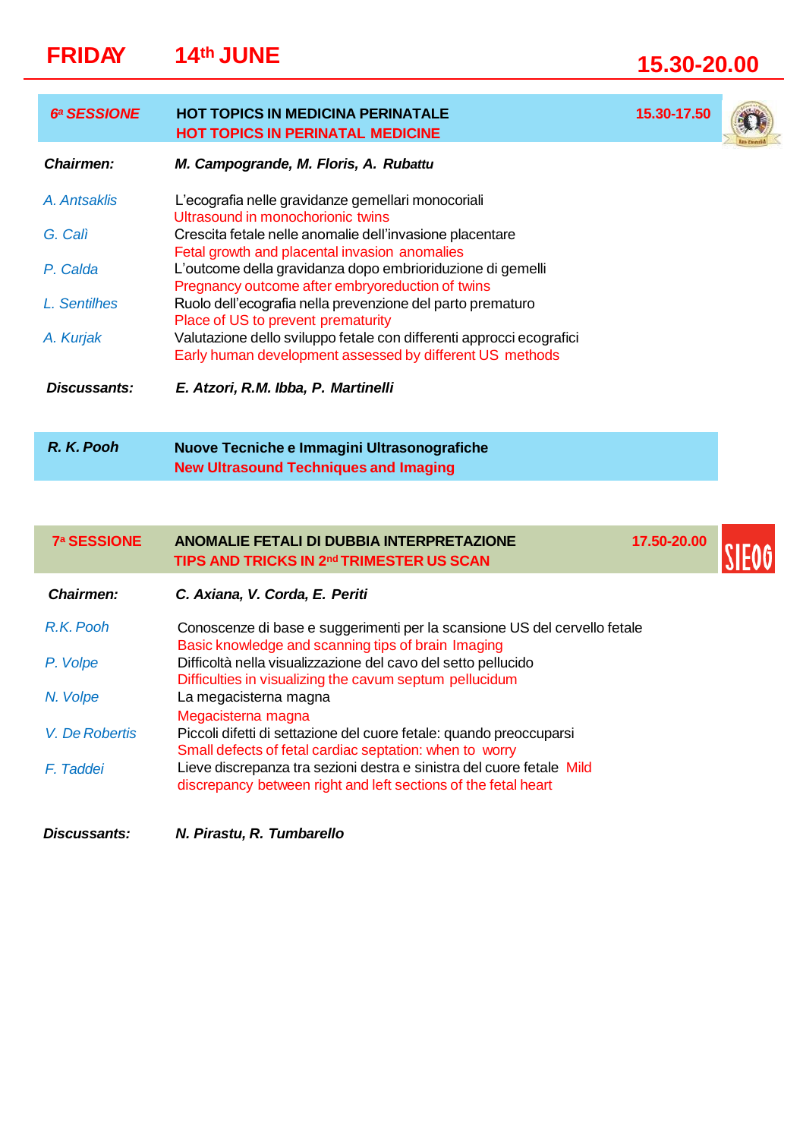# **FRIDAY 14th JUNE 15.30-20.00**

I

| <b>6ª SESSIONE</b> | <b>HOT TOPICS IN MEDICINA PERINATALE</b><br><b>HOT TOPICS IN PERINATAL MEDICINE</b>                                              | 15.30-17.50 |  |
|--------------------|----------------------------------------------------------------------------------------------------------------------------------|-------------|--|
| Chairmen:          | M. Campogrande, M. Floris, A. Rubattu                                                                                            |             |  |
| A. Antsaklis       | L'ecografia nelle gravidanze gemellari monocoriali<br>Ultrasound in monochorionic twins                                          |             |  |
| G. Cali            | Crescita fetale nelle anomalie dell'invasione placentare<br>Fetal growth and placental invasion anomalies                        |             |  |
| P. Calda           | L'outcome della gravidanza dopo embrioriduzione di gemelli<br>Pregnancy outcome after embryoreduction of twins                   |             |  |
| L. Sentilhes       | Ruolo dell'ecografia nella prevenzione del parto prematuro<br>Place of US to prevent prematurity                                 |             |  |
| A. Kurjak          | Valutazione dello sviluppo fetale con differenti approcci ecografici<br>Early human development assessed by different US methods |             |  |
| Discussants:       | E. Atzori, R.M. Ibba, P. Martinelli                                                                                              |             |  |
|                    |                                                                                                                                  |             |  |
| R. K. Pooh         | Nuove Tecniche e Immagini Ultrasonografiche<br><b>New Ultrasound Techniques and Imaging</b>                                      |             |  |

| <b>7ª SESSIONE</b>  | ANOMALIE FETALI DI DUBBIA INTERPRETAZIONE<br>TIPS AND TRICKS IN 2nd TRIMESTER US SCAN                                                   | 17.50-20.00 |  |
|---------------------|-----------------------------------------------------------------------------------------------------------------------------------------|-------------|--|
| Chairmen:           | C. Axiana, V. Corda, E. Periti                                                                                                          |             |  |
| R.K. Pooh           | Conoscenze di base e suggerimenti per la scansione US del cervello fetale<br>Basic knowledge and scanning tips of brain Imaging         |             |  |
| P. Volpe            | Difficoltà nella visualizzazione del cavo del setto pellucido<br>Difficulties in visualizing the cavum septum pellucidum                |             |  |
| N. Volpe            | La megacisterna magna<br>Megacisterna magna                                                                                             |             |  |
| V. De Robertis      | Piccoli difetti di settazione del cuore fetale: quando preoccuparsi<br>Small defects of fetal cardiac septation: when to worry          |             |  |
| F. Taddei           | Lieve discrepanza tra sezioni destra e sinistra del cuore fetale Mild<br>discrepancy between right and left sections of the fetal heart |             |  |
| <b>Discussants:</b> | N. Pirastu. R. Tumbarello                                                                                                               |             |  |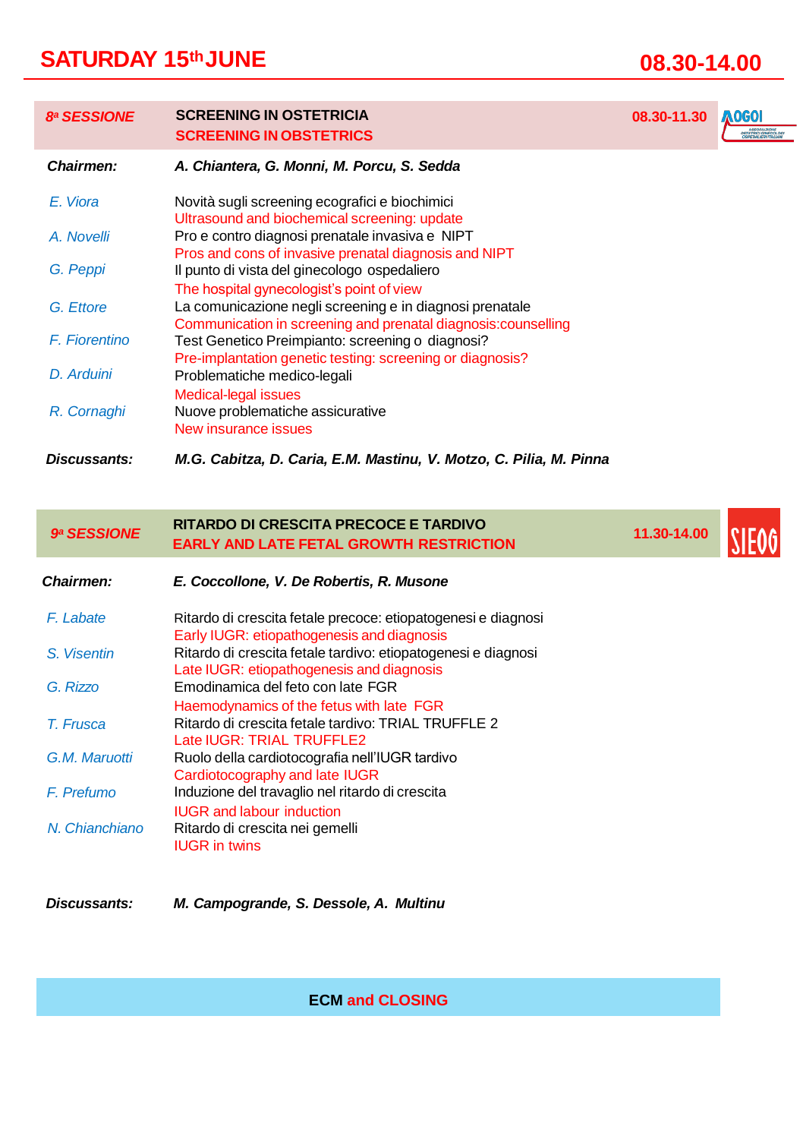# **SATURDAY 15thJUNE 08.30-14.00**

*E. Viora A. Novelli*

## *8<sup>a</sup> SESSIONE* **SCREENING IN OSTETRICIA 08.30-11.30** AOGOI **SCREENING IN OBSTETRICS** *Chairmen: A. Chiantera, G. Monni, M. Porcu, S. Sedda* Novità sugli screening ecografici e biochimici Ultrasound and biochemical screening: update Pro e contro diagnosi prenatale invasiva e NIPT Pros and cons of invasive prenatal diagnosis and NIPT

| G. Peppi      | Il punto di vista del ginecologo ospedaliero                   |
|---------------|----------------------------------------------------------------|
|               | The hospital gynecologist's point of view                      |
| G. Ettore     | La comunicazione negli screening e in diagnosi prenatale       |
|               | Communication in screening and prenatal diagnosis: counselling |
| F. Fiorentino | Test Genetico Preimpianto: screening o diagnosi?               |
|               | Pre-implantation genetic testing: screening or diagnosis?      |
| D. Arduini    | Problematiche medico-legali                                    |
|               | <b>Medical-legal issues</b>                                    |
| R. Cornaghi   | Nuove problematiche assicurative                               |
|               | New insurance issues                                           |

*Discussants: M.G. Cabitza, D. Caria, E.M. Mastinu, V. Motzo, C. Pilia, M. Pinna*

## *<sup>9</sup><sup>a</sup> SESSIONE* **11.30-14.00 RITARDO DI CRESCITA PRECOCE E TARDIVO EARLY AND LATE FETAL GROWTH RESTRICTION**

| Chairmen:      | E. Coccollone, V. De Robertis, R. Musone                                                                    |
|----------------|-------------------------------------------------------------------------------------------------------------|
| F. Labate      | Ritardo di crescita fetale precoce: etiopatogenesi e diagnosi<br>Early IUGR: etiopathogenesis and diagnosis |
| S. Visentin    | Ritardo di crescita fetale tardivo: etiopatogenesi e diagnosi<br>Late IUGR: etiopathogenesis and diagnosis  |
| G. Rizzo       | Emodinamica del feto con late FGR<br>Haemodynamics of the fetus with late FGR                               |
| T. Frusca      | Ritardo di crescita fetale tardivo: TRIAL TRUFFLE 2<br>Late IUGR: TRIAL TRUFFLE2                            |
| G.M. Maruotti  | Ruolo della cardiotocografia nell'IUGR tardivo<br>Cardiotocography and late IUGR                            |
| F. Prefumo     | Induzione del travaglio nel ritardo di crescita<br><b>IUGR</b> and labour induction                         |
| N. Chianchiano | Ritardo di crescita nei gemelli<br><b>IUGR</b> in twins                                                     |

#### *Discussants: M. Campogrande, S. Dessole, A. Multinu*

**ECM and CLOSING**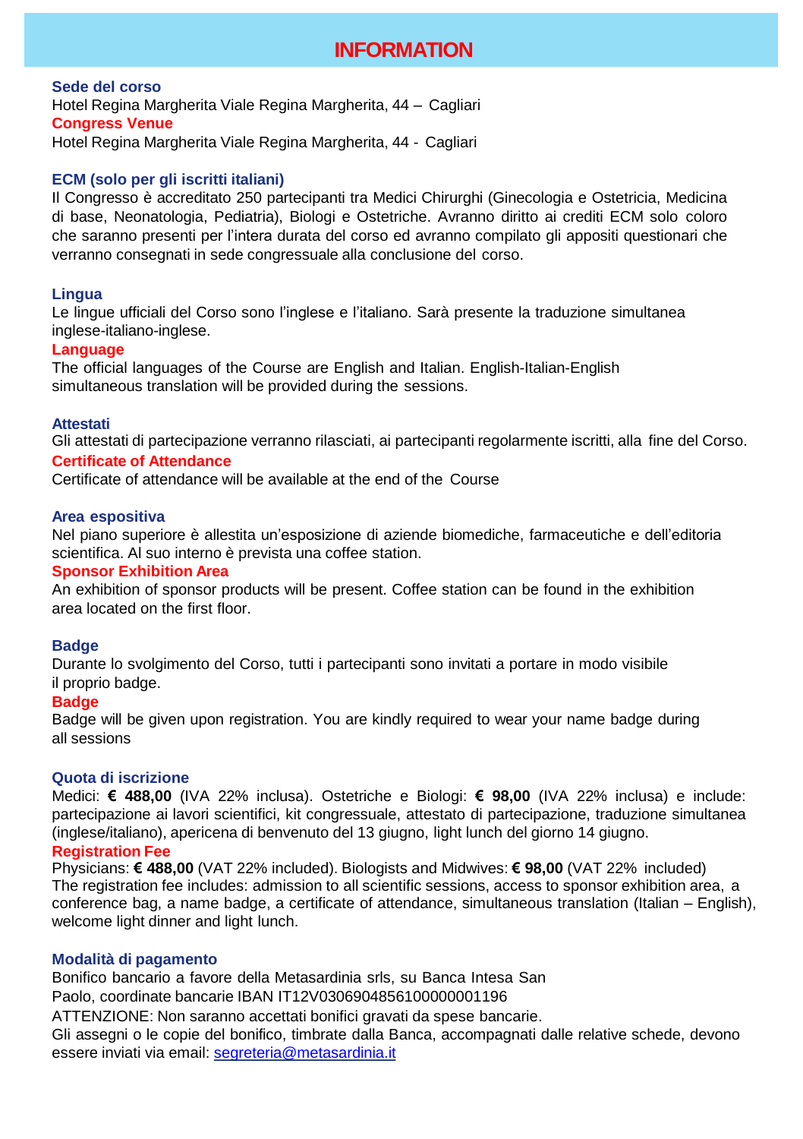# **INFORMATION**

**Sede del corso** Hotel Regina Margherita Viale Regina Margherita, 44 – Cagliari **Congress Venue** Hotel Regina Margherita Viale Regina Margherita, 44 - Cagliari

#### **ECM (solo per gli iscritti italiani)**

Il Congresso è accreditato 250 partecipanti tra Medici Chirurghi (Ginecologia e Ostetricia, Medicina di base, Neonatologia, Pediatria), Biologi e Ostetriche. Avranno diritto ai crediti ECM solo coloro che saranno presenti per l'intera durata del corso ed avranno compilato gli appositi questionari che verranno consegnati in sede congressuale alla conclusione del corso.

#### **Lingua**

Le lingue ufficiali del Corso sono l'inglese e l'italiano. Sarà presente la traduzione simultanea inglese-italiano-inglese.

#### **Language**

The official languages of the Course are English and Italian. English-Italian-English simultaneous translation will be provided during the sessions.

#### **Attestati**

Gli attestati di partecipazione verranno rilasciati, ai partecipanti regolarmente iscritti, alla fine del Corso.

### **Certificate of Attendance**

Certificate of attendance will be available at the end of the Course

#### **Area espositiva**

Nel piano superiore è allestita un'esposizione di aziende biomediche, farmaceutiche e dell'editoria scientifica. Al suo interno è prevista una coffee station.

#### **Sponsor Exhibition Area**

An exhibition of sponsor products will be present. Coffee station can be found in the exhibition area located on the first floor.

#### **Badge**

Durante lo svolgimento del Corso, tutti i partecipanti sono invitati a portare in modo visibile il proprio badge.

#### **Badge**

Badge will be given upon registration. You are kindly required to wear your name badge during all sessions

#### **Quota di iscrizione**

Medici: **€ 488,00** (IVA 22% inclusa). Ostetriche e Biologi: **€ 98,00** (IVA 22% inclusa) e include: partecipazione ai lavori scientifici, kit congressuale, attestato di partecipazione, traduzione simultanea (inglese/italiano), apericena di benvenuto del 13 giugno, light lunch del giorno 14 giugno.

## **Registration Fee**

Physicians: **€ 488,00** (VAT 22% included). Biologists and Midwives: **€ 98,00** (VAT 22% included) The registration fee includes: admission to all scientific sessions, access to sponsor exhibition area, a conference bag, a name badge, a certificate of attendance, simultaneous translation (Italian – English), welcome light dinner and light lunch.

#### **Modalità di pagamento**

Bonifico bancario a favore della Metasardinia srls, su Banca Intesa San Paolo, coordinate bancarie IBAN IT12V0306904856100000001196

ATTENZIONE: Non saranno accettati bonifici gravati da spese bancarie.

Gli assegni o le copie del bonifico, timbrate dalla Banca, accompagnati dalle relative schede, devono essere inviati via email: [segreteria@metasardinia.it](mailto:segreteria@metasardinia.it)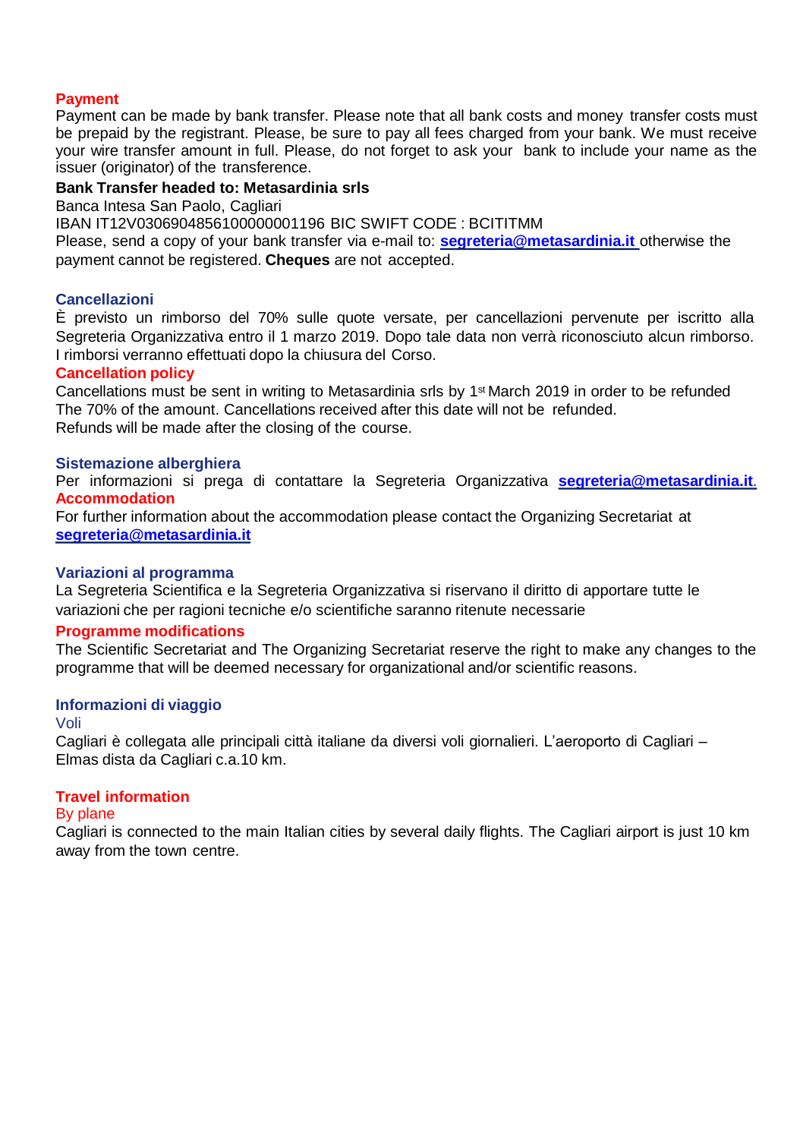#### **Payment**

Payment can be made by bank transfer. Please note that all bank costs and money transfer costs must be prepaid by the registrant. Please, be sure to pay all fees charged from your bank. We must receive your wire transfer amount in full. Please, do not forget to ask your bank to include your name as the issuer (originator) of the transference.

#### **Bank Transfer headed to: Metasardinia srls**

Banca Intesa San Paolo, Cagliari

IBAN IT12V0306904856100000001196 BIC SWIFT CODE : BCITITMM

Please, send a copy of your bank transfer via e-mail to: **[segreteria@metasardinia.it](mailto:segreteria@metasardinia.it)** otherwise the payment cannot be registered. **Cheques** are not accepted.

#### **Cancellazioni**

È previsto un rimborso del 70% sulle quote versate, per cancellazioni pervenute per iscritto alla Segreteria Organizzativa entro il 1 marzo 2019. Dopo tale data non verrà riconosciuto alcun rimborso. I rimborsi verranno effettuati dopo la chiusura del Corso.

#### **Cancellation policy**

Cancellations must be sent in writing to Metasardinia srls by 1st March 2019 in order to be refunded The 70% of the amount. Cancellations received after this date will not be refunded. Refunds will be made after the closing of the course.

#### **Sistemazione alberghiera**

Per informazioni si prega di contattare la Segreteria Organizzativa **[segreteria@metasardinia.it](mailto:segreteria@metasardinia.it)**. **Accommodation**

For further information about the accommodation please contact the Organizing Secretariat at **[segreteria@metasardinia.it](mailto:segreteria@metasardinia.it)**

#### **Variazioni al programma**

La Segreteria Scientifica e la Segreteria Organizzativa si riservano il diritto di apportare tutte le variazioni che per ragioni tecniche e/o scientifiche saranno ritenute necessarie

#### **Programme modifications**

The Scientific Secretariat and The Organizing Secretariat reserve the right to make any changes to the programme that will be deemed necessary for organizational and/or scientific reasons.

#### **Informazioni di viaggio**

#### Voli

Cagliari è collegata alle principali città italiane da diversi voli giornalieri. L'aeroporto di Cagliari – Elmas dista da Cagliari c.a.10 km.

### **Travel information**

#### By plane

Cagliari is connected to the main Italian cities by several daily flights. The Cagliari airport is just 10 km away from the town centre.